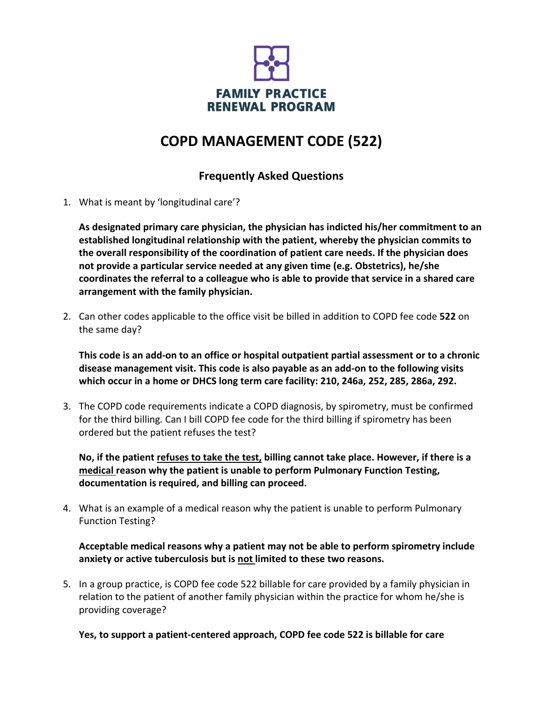

## **COPD MANAGEMENT CODE (522)**

## **Frequently Asked Questions**

1. What is meant by 'longitudinal care'?

**As designated primary care physician, the physician has indicted his/her commitment to an established longitudinal relationship with the patient, whereby the physician commits to the overall responsibility of the coordination of patient care needs. If the physician does not provide a particular service needed at any given time (e.g. Obstetrics), he/she coordinates the referral to a colleague who is able to provide that service in a shared care arrangement with the family physician.**

2. Can other codes applicable to the office visit be billed in addition to COPD fee code **522** on the same day?

**This code is an add-on to an office or hospital outpatient partial assessment or to a chronic disease management visit. This code is also payable as an add-on to the following visits which occur in a home or DHCS long term care facility: 210, 246a, 252, 285, 286a, 292.**

3. The COPD code requirements indicate a COPD diagnosis, by spirometry, must be confirmed for the third billing*.* Can I bill COPD fee code for the third billing if spirometry has been ordered but the patient refuses the test?

**No, if the patient refuses to take the test, billing cannot take place. However, if there is a medical reason why the patient is unable to perform Pulmonary Function Testing, documentation is required, and billing can proceed.**

4. What is an example of a medical reason why the patient is unable to perform Pulmonary Function Testing?

**Acceptable medical reasons why a patient may not be able to perform spirometry include anxiety or active tuberculosis but is not limited to these two reasons.**

5. In a group practice, is COPD fee code 522 billable for care provided by a family physician in relation to the patient of another family physician within the practice for whom he/she is providing coverage?

**Yes, to support a patient-centered approach, COPD fee code 522 is billable for care**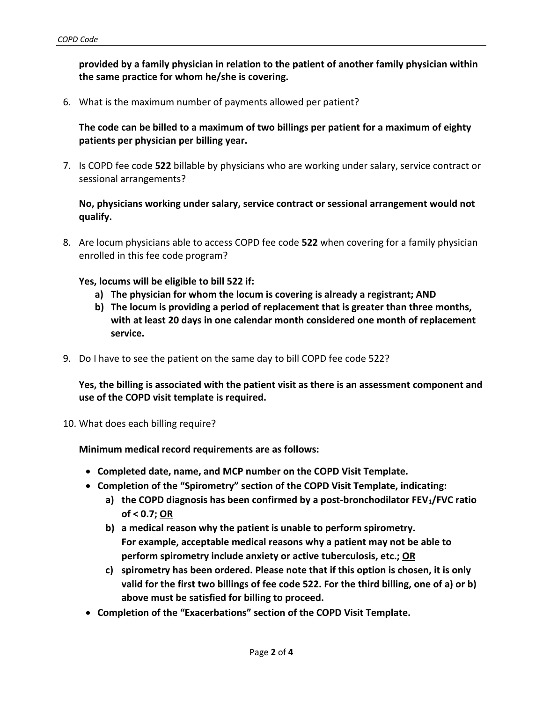**provided by a family physician in relation to the patient of another family physician within the same practice for whom he/she is covering.**

6. What is the maximum number of payments allowed per patient?

**The code can be billed to a maximum of two billings per patient for a maximum of eighty patients per physician per billing year.** 

7. Is COPD fee code **522** billable by physicians who are working under salary, service contract or sessional arrangements?

**No, physicians working under salary, service contract or sessional arrangement would not qualify.**

8. Are locum physicians able to access COPD fee code **522** when covering for a family physician enrolled in this fee code program?

**Yes, locums will be eligible to bill 522 if:**

- **a) The physician for whom the locum is covering is already a registrant; AND**
- **b) The locum is providing a period of replacement that is greater than three months, with at least 20 days in one calendar month considered one month of replacement service.**
- 9. Do I have to see the patient on the same day to bill COPD fee code 522?

**Yes, the billing is associated with the patient visit as there is an assessment component and use of the COPD visit template is required.**

10. What does each billing require?

**Minimum medical record requirements are as follows:**

- **Completed date, name, and MCP number on the COPD Visit Template.**
- **Completion of the "Spirometry" section of the COPD Visit Template, indicating:**
	- **a) the COPD diagnosis has been confirmed by a post-bronchodilator FEV1/FVC ratio of < 0.7; OR**
	- **b) a medical reason why the patient is unable to perform spirometry. For example, acceptable medical reasons why a patient may not be able to perform spirometry include anxiety or active tuberculosis, etc.; OR**
	- **c) spirometry has been ordered. Please note that if this option is chosen, it is only valid for the first two billings of fee code 522. For the third billing, one of a) or b) above must be satisfied for billing to proceed.**
- **Completion of the "Exacerbations" section of the COPD Visit Template.**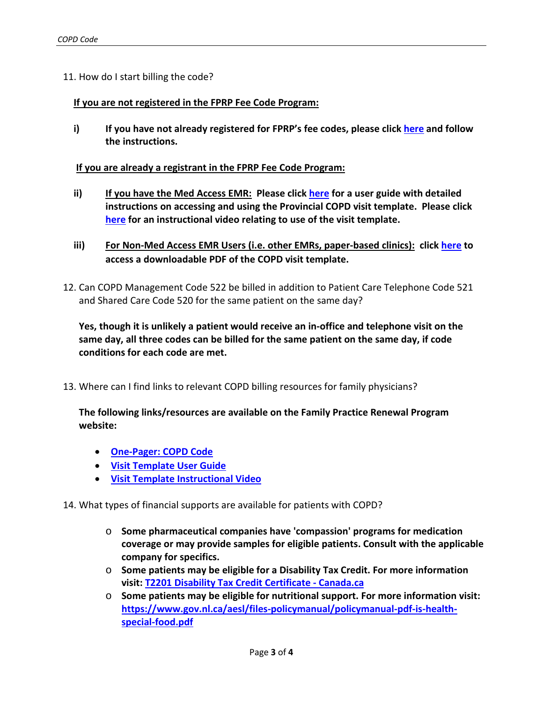11. How do I start billing the code?

## **If you are not registered in the FPRP Fee Code Program:**

**i) If you have not already registered for FPRP's fee codes, please click [here](http://familypracticerenewalnl.ca/forms/fee-code-registration/) and follow the instructions.** 

## **If you are already a registrant in the FPRP Fee Code Program:**

- **ii) If you have the Med Access EMR: Please click [here](http://familypracticerenewalnl.ca/wp-content/uploads/2021/08/NL_Provincial-COPD-visit-template-user-guide-FINAL.pdf) for a user guide with detailed instructions on accessing and using the Provincial COPD visit template. Please click [here](https://nlma-nl-ca.zoom.us/rec/play/4EEEoOJ6lnAbr_1kApG61wam8JHgb8ZUh1L_NS9JKx1H8k30ifhzsaGi7an-2KD3adOnfTbxXXNC-S4y.oERC4QjbEctrcmSo) for an instructional video relating to use of the visit template.**
- **iii) For Non-Med Access EMR Users (i.e. other EMRs, paper-based clinics): click [here](http://familypracticerenewalnl.ca/wp-content/uploads/2021/08/2021.07.08-COPD_Visit_Template_FOR-NON-EMR-USERS_FINAL.pdf) to access a downloadable PDF of the COPD visit template.**
- 12. Can COPD Management Code 522 be billed in addition to Patient Care Telephone Code 521 and Shared Care Code 520 for the same patient on the same day?

**Yes, though it is unlikely a patient would receive an in-office and telephone visit on the same day, all three codes can be billed for the same patient on the same day, if code conditions for each code are met.**

13. Where can I find links to relevant COPD billing resources for family physicians?

**The following links/resources are available on the Family Practice Renewal Program website:**

- **[One-Pager: COPD Code](http://familypracticerenewalnl.ca/wp-content/uploads/2021/08/2021.08.16-One-Pager_COPD_Code-FINAL.pdf)**
- **[Visit Template User Guide](http://familypracticerenewalnl.ca/wp-content/uploads/2021/08/NL_Provincial-COPD-visit-template-user-guide-FINAL.pdf)**
- **[Visit Template Instructional Video](https://nlma-nl-ca.zoom.us/rec/play/4EEEoOJ6lnAbr_1kApG61wam8JHgb8ZUh1L_NS9JKx1H8k30ifhzsaGi7an-2KD3adOnfTbxXXNC-S4y.oERC4QjbEctrcmSo)**

14. What types of financial supports are available for patients with COPD?

- o **Some pharmaceutical companies have 'compassion' programs for medication coverage or may provide samples for eligible patients. Consult with the applicable company for specifics.**
- o **Some patients may be eligible for a Disability Tax Credit. For more information visit: [T2201 Disability Tax Credit Certificate -](https://www.canada.ca/en/revenue-agency/services/forms-publications/forms/t2201.html) Canada.ca**
- o **Some patients may be eligible for nutritional support. For more information visit: [https://www.gov.nl.ca/aesl/files-policymanual/policymanual-pdf-is-health](https://www.gov.nl.ca/aesl/files-policymanual/policymanual-pdf-is-health-special-food.pdf)[special-food.pdf](https://www.gov.nl.ca/aesl/files-policymanual/policymanual-pdf-is-health-special-food.pdf)**